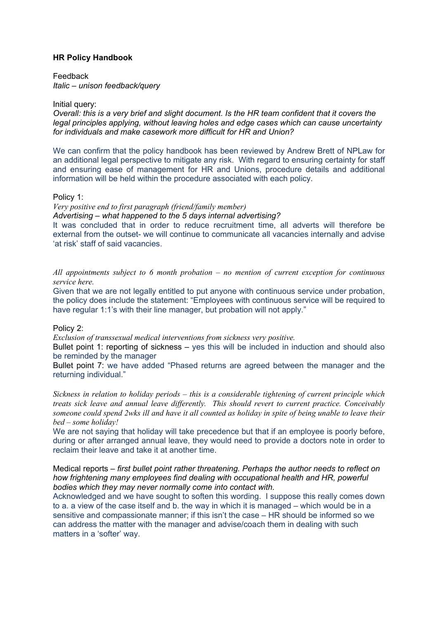# **HR Policy Handbook**

Feedback *Italic – unison feedback/query*

## Initial query:

*Overall: this is a very brief and slight document. Is the HR team confident that it covers the legal principles applying, without leaving holes and edge cases which can cause uncertainty for individuals and make casework more difficult for HR and Union?*

We can confirm that the policy handbook has been reviewed by Andrew Brett of NPLaw for an additional legal perspective to mitigate any risk. With regard to ensuring certainty for staff and ensuring ease of management for HR and Unions, procedure details and additional information will be held within the procedure associated with each policy.

### Policy 1:

*Very positive end to first paragraph (friend/family member) Advertising – what happened to the 5 days internal advertising?*

It was concluded that in order to reduce recruitment time, all adverts will therefore be external from the outset- we will continue to communicate all vacancies internally and advise 'at risk' staff of said vacancies.

*All appointments subject to 6 month probation – no mention of current exception for continuous service here.*

Given that we are not legally entitled to put anyone with continuous service under probation, the policy does include the statement: "Employees with continuous service will be required to have regular 1:1's with their line manager, but probation will not apply."

## Policy 2:

*Exclusion of transsexual medical interventions from sickness very positive.*

Bullet point 1: reporting of sickness – yes this will be included in induction and should also be reminded by the manager

Bullet point 7: we have added "Phased returns are agreed between the manager and the returning individual."

*Sickness in relation to holiday periods – this is a considerable tightening of current principle which treats sick leave and annual leave differently. This should revert to current practice. Conceivably* someone could spend 2wks ill and have it all counted as holiday in spite of being unable to leave their *bed – some holiday!*

We are not saying that holiday will take precedence but that if an employee is poorly before, during or after arranged annual leave, they would need to provide a doctors note in order to reclaim their leave and take it at another time.

# Medical reports *– first bullet point rather threatening. Perhaps the author needs to reflect on how frightening many employees find dealing with occupational health and HR, powerful bodies which they may never normally come into contact with.*

Acknowledged and we have sought to soften this wording. I suppose this really comes down to a. a view of the case itself and b. the way in which it is managed – which would be in a sensitive and compassionate manner; if this isn't the case – HR should be informed so we can address the matter with the manager and advise/coach them in dealing with such matters in a 'softer' way.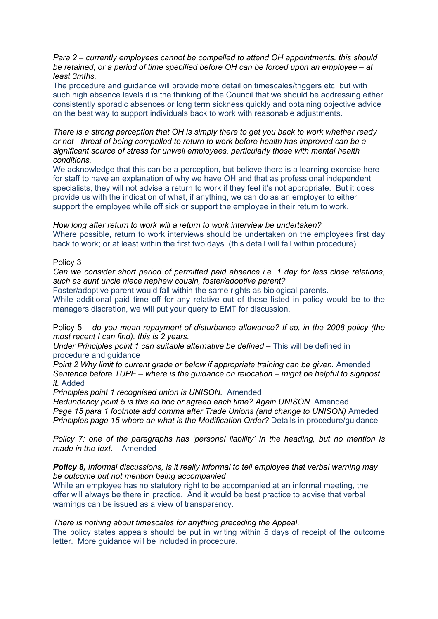*Para 2 – currently employees cannot be compelled to attend OH appointments, this should be retained, or a period of time specified before OH can be forced upon an employee – at least 3mths.*

The procedure and guidance will provide more detail on timescales/triggers etc. but with such high absence levels it is the thinking of the Council that we should be addressing either consistently sporadic absences or long term sickness quickly and obtaining objective advice on the best way to support individuals back to work with reasonable adjustments.

*There is a strong perception that OH is simply there to get you back to work whether ready or not - threat of being compelled to return to work before health has improved can be a significant source of stress for unwell employees, particularly those with mental health conditions.*

We acknowledge that this can be a perception, but believe there is a learning exercise here for staff to have an explanation of why we have OH and that as professional independent specialists, they will not advise a return to work if they feel it's not appropriate. But it does provide us with the indication of what, if anything, we can do as an employer to either support the employee while off sick or support the employee in their return to work.

*How long after return to work will a return to work interview be undertaken?* Where possible, return to work interviews should be undertaken on the employees first day back to work; or at least within the first two days. (this detail will fall within procedure)

### Policy 3

*Can we consider short period of permitted paid absence i.e. 1 day for less close relations, such as aunt uncle niece nephew cousin, foster/adoptive parent?*

Foster/adoptive parent would fall within the same rights as biological parents.

While additional paid time off for any relative out of those listed in policy would be to the managers discretion, we will put your query to EMT for discussion.

Policy 5 – *do you mean repayment of disturbance allowance? If so, in the 2008 policy (the most recent I can find), this is 2 years.*

*Under Principles point 1 can suitable alternative be defined –* This will be defined in procedure and guidance

*Point 2 Why limit to current grade or below if appropriate training can be given.* Amended *Sentence before TUPE – where is the guidance on relocation – might be helpful to signpost it.* Added

*Principles point 1 recognised union is UNISON.* Amended

*Redundancy point 5 is this ad hoc or agreed each time? Again UNISON.* Amended *Page 15 para 1 footnote add comma after Trade Unions (and change to UNISON)* Ameded *Principles page 15 where an what is the Modification Order?* Details in procedure/guidance

*Policy 7: one of the paragraphs has 'personal liability' in the heading, but no mention is made in the text.* – Amended

*Policy 8, Informal discussions, is it really informal to tell employee that verbal warning may be outcome but not mention being accompanied*

While an employee has no statutory right to be accompanied at an informal meeting, the offer will always be there in practice. And it would be best practice to advise that verbal warnings can be issued as a view of transparency.

#### *There is nothing about timescales for anything preceding the Appeal.*

The policy states appeals should be put in writing within 5 days of receipt of the outcome letter. More guidance will be included in procedure.